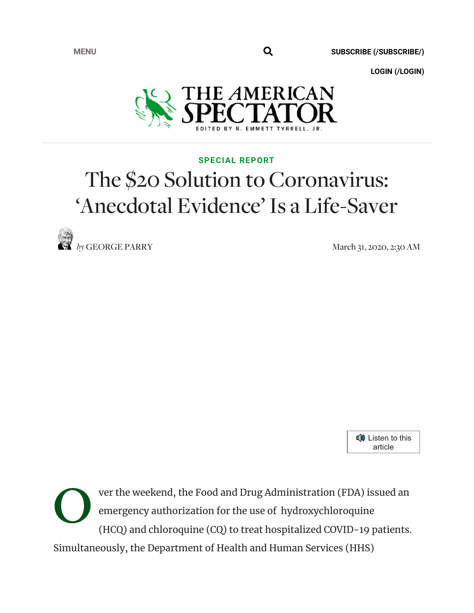**MENU** 

**SUBSCRIBE (/SUBSCRIBE/)**

**LOGIN (/LOGIN)**



## **SPECIAL REPORT**

## The \$20 Solution to Coronavirus: 'Anecdotal Evidence' Is a Life-Saver

*by* GEORGE PARRY March 31, 2020, 2:30 AM



O ver the weekend, the Food and Drug Administration (FDA) issued an emergency authorization for the use of hydroxychloroquine (HCQ) and chloroquine (CQ) to treat hospitalized COVID-19 patients. Simultaneously, the Department of Health and Human Services (HHS)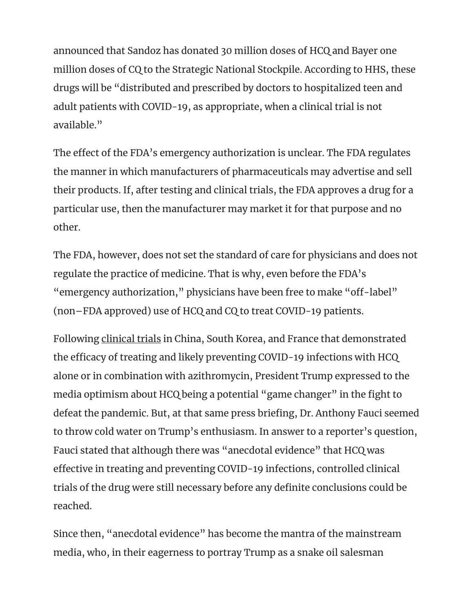announced that Sandoz has donated 30 million doses of HCQ and Bayer one million doses of CQ to the Strategic National Stockpile. According to HHS, these drugs will be "distributed and prescribed by doctors to hospitalized teen and adult patients with COVID-19, as appropriate, when a clinical trial is not available."

The effect of the FDA's emergency authorization is unclear. The FDA regulates the manner in which manufacturers of pharmaceuticals may advertise and sell their products. If, after testing and clinical trials, the FDA approves a drug for a particular use, then the manufacturer may market it for that purpose and no other.

The FDA, however, does not set the standard of care for physicians and does not regulate the practice of medicine. That is why, even before the FDA's "emergency authorization," physicians have been free to make "off-label" (non–FDA approved) use of HCQ and CQ to treat COVID-19 patients.

Following clinical trials in China, South Korea, and France that demonstrated the efficacy of treating and likely preventing COVID-19 infections with HCQ alone or in combination with azithromycin, President Trump expressed to the media optimism about HCQ being a potential "game changer" in the fight to defeat the pandemic. But, at that same press briefing, Dr. Anthony Fauci seemed to throw cold water on Trump's enthusiasm. In answer to a reporter's question, Fauci stated that although there was "anecdotal evidence" that HCQ was effective in treating and preventing COVID-19 infections, controlled clinical trials of the drug were still necessary before any definite conclusions could be reached.

Since then, "anecdotal evidence" has become the mantra of the mainstream media, who, in their eagerness to portray Trump as a snake oil salesman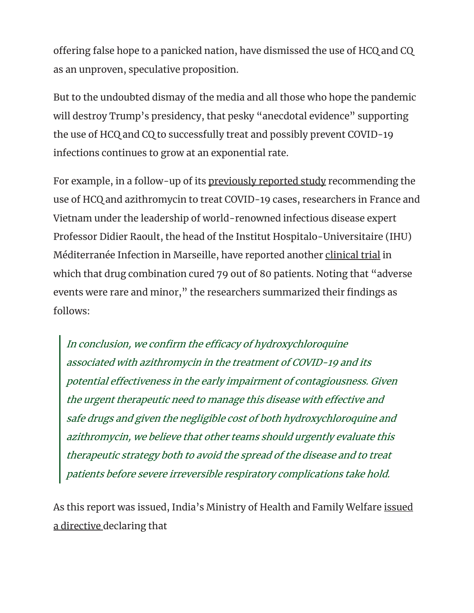offering false hope to a panicked nation, have dismissed the use of HCQ and CQ as an unproven, speculative proposition.

But to the undoubted dismay of the media and all those who hope the pandemic will destroy Trump's presidency, that pesky "anecdotal evidence" supporting the use of HCQ and CQ to successfully treat and possibly prevent COVID-19 infections continues to grow at an exponential rate.

For example, in a follow-up of its previously reported study recommending the use of HCQ and azithromycin to treat COVID-19 cases, researchers in France and Vietnam under the leadership of world-renowned infectious disease expert Professor Didier Raoult, the head of the Institut Hospitalo-Universitaire (IHU) Méditerranée Infection in Marseille, have reported another clinical trial in which that drug combination cured 79 out of 80 patients. Noting that "adverse events were rare and minor," the researchers summarized their findings as follows:

In conclusion, we confirm the efficacy of hydroxychloroquine associated with azithromycin in the treatment of COVID-19 and its potential effectiveness in the early impairment of contagiousness. Given the urgent therapeutic need to manage this disease with effective and safe drugs and given the negligible cost of both hydroxychloroquine and azithromycin, we believe that other teams should urgently evaluate this therapeutic strategy both to avoid the spread of the disease and to treat patients before severe irreversible respiratory complications take hold.

As this report was issued, India's Ministry of Health and Family Welfare issued <u>a directive d</u>eclaring that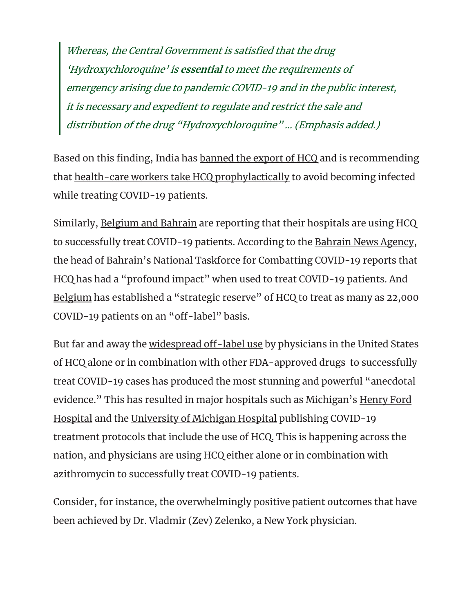Whereas, the Central Government is satisfied that the drug 'Hydroxychloroquine' is **essential** to meet the requirements of emergency arising due to pandemic COVID-19 and in the public interest, it is necessary and expedient to regulate and restrict the sale and distribution of the drug "Hydroxychloroquine" … (Emphasis added.)

Based on this finding, India has banned the export of HCQ and is recommending that health-care workers take HCQ prophylactically to avoid becoming infected while treating COVID-19 patients.

Similarly, Belgium and Bahrain are reporting that their hospitals are using HCQ to successfully treat COVID-19 patients. According to the Bahrain News Agency, the head of Bahrain's National Taskforce for Combatting COVID-19 reports that HCQ has had a "profound impact" when used to treat COVID-19 patients. And Belgium has established a "strategic reserve" of HCQ to treat as many as 22,000 COVID-19 patients on an "off-label" basis.

But far and away the widespread off-label use by physicians in the United States of HCQ alone or in combination with other FDA-approved drugs to successfully treat COVID-19 cases has produced the most stunning and powerful "anecdotal evidence." This has resulted in major hospitals such as Michigan's Henry Ford Hospital and the University of Michigan Hospital publishing COVID-19 treatment protocols that include the use of HCQ. This is happening across the nation, and physicians are using HCQ either alone or in combination with azithromycin to successfully treat COVID-19 patients.

Consider, for instance, the overwhelmingly positive patient outcomes that have been achieved by Dr. Vladmir (Zev) Zelenko, a New York physician.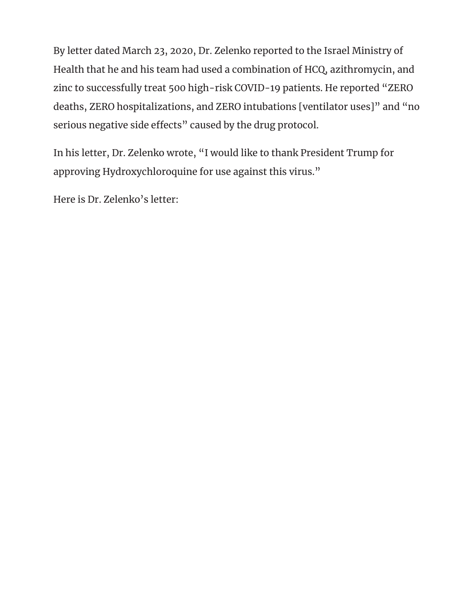By letter dated March 23, 2020, Dr. Zelenko reported to the Israel Ministry of Health that he and his team had used a combination of HCQ, azithromycin, and zinc to successfully treat 500 high-risk COVID-19 patients. He reported "ZERO deaths, ZERO hospitalizations, and ZERO intubations [ventilator uses]" and "no serious negative side effects" caused by the drug protocol.

In his letter, Dr. Zelenko wrote, "I would like to thank President Trump for approving Hydroxychloroquine for use against this virus."

Here is Dr. Zelenko's letter: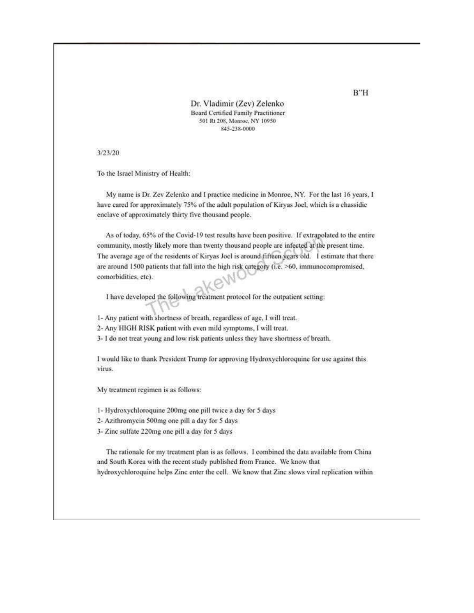Dr. Vladimir (Zev) Zelenko Board Certified Family Practitioner 501 Rt 208, Monroe, NY 10950 845-238-0000

3/23/20

To the Israel Ministry of Health:

My name is Dr. Zev Zelenko and I practice medicine in Monroe, NY. For the last 16 years, I have cared for approximately 75% of the adult population of Kiryas Joel, which is a chassidic enclave of approximately thirty five thousand people.

As of today, 65% of the Covid-19 test results have been positive. If extrapolated to the entire community, mostly likely more than twenty thousand people are infected at the present time. The average age of the residents of Kiryas Joel is around fifteen years old. I estimate that there are around 1500 patients that fall into the high risk category (i.e. >60, immunocompromised, comorbidities, etc).

I have developed the following treatment protocol for the outpatient setting:

1- Any patient with shortness of breath, regardless of age, I will treat.

2- Any HIGH RISK patient with even mild symptoms, I will treat.

3- I do not treat young and low risk patients unless they have shortness of breath.

I would like to thank President Trump for approving Hydroxychloroquine for use against this virus.

My treatment regimen is as follows:

1- Hydroxychloroquine 200mg one pill twice a day for 5 days

2- Azithromycin 500mg one pill a day for 5 days

3- Zinc sulfate 220mg one pill a day for 5 days

The rationale for my treatment plan is as follows. I combined the data available from China and South Korea with the recent study published from France. We know that hydroxychloroquine helps Zinc enter the cell. We know that Zinc slows viral replication within

 $B''H$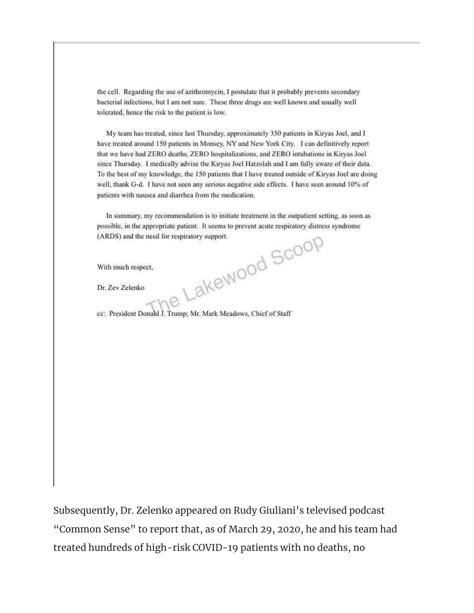the cell. Regarding the use of azithromycin, I postulate that it probably prevents secondary bacterial infections, but I am not sure. These three drugs are well known and usually well tolerated, hence the risk to the patient is low.

My team has treated, since last Thursday, approximately 350 patients in Kiryas Joel, and I have treated around 150 patients in Monsey, NY and New York City. I can definitively report that we have had ZERO deaths, ZERO hospitalizations, and ZERO intubations in Kiryas Joel since Thursday. I medically advise the Kiryas Joel Hatzolah and I am fully aware of their data. To the best of my knowledge, the 150 patients that I have treated outside of Kiryas Joel are doing well, thank G-d. I have not seen any serious negative side effects. I have seen around 10% of patients with nausea and diarrhea from the medication.

In summary, my recommendation is to initiate treatment in the outpatient setting, as soon as possible, in the appropriate patient. It seems to prevent acute respiratory distress syndrome Lakewood Scoop (ARDS) and the need for respiratory support.

With much respect,

Dr. Zev Zelenko

cc: President Donald J. Trump; Mr. Mark Meadows, Chief of Staff

Subsequently, Dr. Zelenko appeared on Rudy Giuliani's televised podcast "Common Sense" to report that, as of March 29, 2020, he and his team had treated hundreds of high-risk COVID-19 patients with no deaths, no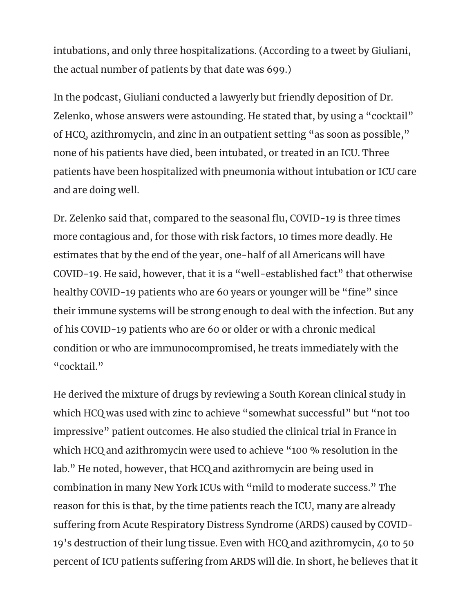intubations, and only three hospitalizations. (According to a tweet by Giuliani, the actual number of patients by that date was 699.)

In the podcast, Giuliani conducted a lawyerly but friendly deposition of Dr. Zelenko, whose answers were astounding. He stated that, by using a "cocktail" of HCQ, azithromycin, and zinc in an outpatient setting "as soon as possible," none of his patients have died, been intubated, or treated in an ICU. Three patients have been hospitalized with pneumonia without intubation or ICU care and are doing well.

Dr. Zelenko said that, compared to the seasonal flu, COVID-19 is three times more contagious and, for those with risk factors, 10 times more deadly. He estimates that by the end of the year, one-half of all Americans will have COVID-19. He said, however, that it is a "well-established fact" that otherwise healthy COVID-19 patients who are 60 years or younger will be "fine" since their immune systems will be strong enough to deal with the infection. But any of his COVID-19 patients who are 60 or older or with a chronic medical condition or who are immunocompromised, he treats immediately with the "cocktail."

He derived the mixture of drugs by reviewing a South Korean clinical study in which HCQ was used with zinc to achieve "somewhat successful" but "not too impressive" patient outcomes. He also studied the clinical trial in France in which HCQ and azithromycin were used to achieve "100 % resolution in the lab." He noted, however, that HCQ and azithromycin are being used in combination in many New York ICUs with "mild to moderate success." The reason for this is that, by the time patients reach the ICU, many are already suffering from Acute Respiratory Distress Syndrome (ARDS) caused by COVID-19's destruction of their lung tissue. Even with HCQ and azithromycin, 40 to 50 percent of ICU patients suffering from ARDS will die. In short, he believes that it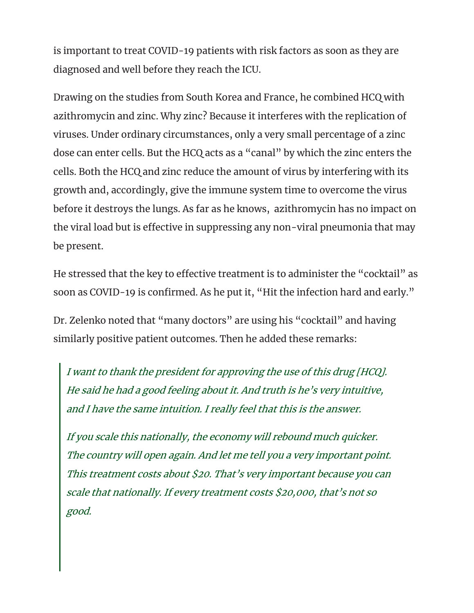is important to treat COVID-19 patients with risk factors as soon as they are diagnosed and well before they reach the ICU.

Drawing on the studies from South Korea and France, he combined HCQ with azithromycin and zinc. Why zinc? Because it interferes with the replication of viruses. Under ordinary circumstances, only a very small percentage of a zinc dose can enter cells. But the HCQ acts as a "canal" by which the zinc enters the cells. Both the HCQ and zinc reduce the amount of virus by interfering with its growth and, accordingly, give the immune system time to overcome the virus before it destroys the lungs. As far as he knows, azithromycin has no impact on the viral load but is effective in suppressing any non-viral pneumonia that may be present.

He stressed that the key to effective treatment is to administer the "cocktail" as soon as COVID-19 is confirmed. As he put it, "Hit the infection hard and early."

Dr. Zelenko noted that "many doctors" are using his "cocktail" and having similarly positive patient outcomes. Then he added these remarks:

I want to thank the president for approving the use of this drug [HCQ]. He said he had a good feeling about it. And truth is he's very intuitive, and I have the same intuition. I really feel that this is the answer.

If you scale this nationally, the economy will rebound much quicker. The country will open again. And let me tell you a very important point. This treatment costs about \$20. That's very important because you can scale that nationally. If every treatment costs \$20,000, that's not so good.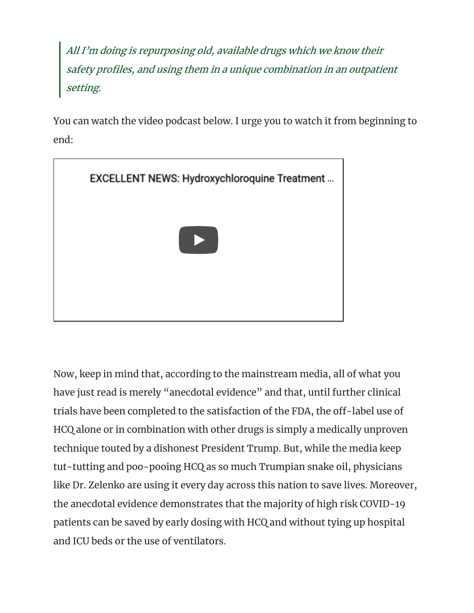All I'm doing is repurposing old, available drugs which we know their safety profiles, and using them in a unique combination in an outpatient setting.

You can watch the video podcast below. I urge you to watch it from beginning to end:



Now, keep in mind that, according to the mainstream media, all of what you have just read is merely "anecdotal evidence" and that, until further clinical trials have been completed to the satisfaction of the FDA, the off-label use of HCQ alone or in combination with other drugs is simply a medically unproven technique touted by a dishonest President Trump. But, while the media keep tut-tutting and poo-pooing HCQ as so much Trumpian snake oil, physicians like Dr. Zelenko are using it every day across this nation to save lives. Moreover, the anecdotal evidence demonstrates that the majority of high risk COVID-19 patients can be saved by early dosing with HCQ and without tying up hospital and ICU beds or the use of ventilators.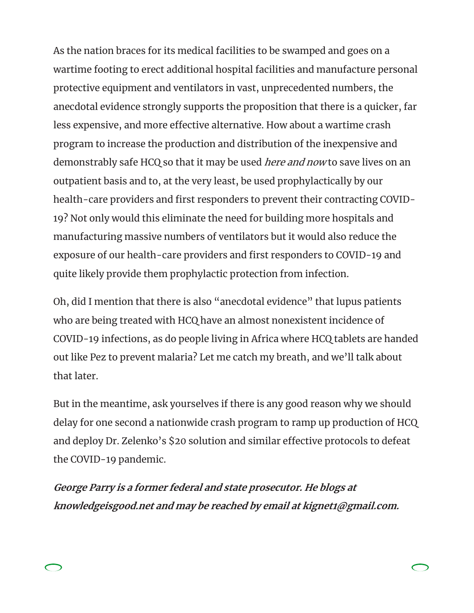As the nation braces for its medical facilities to be swamped and goes on a wartime footing to erect additional hospital facilities and manufacture personal protective equipment and ventilators in vast, unprecedented numbers, the anecdotal evidence strongly supports the proposition that there is a quicker, far less expensive, and more effective alternative. How about a wartime crash program to increase the production and distribution of the inexpensive and demonstrably safe HCQ so that it may be used *here and now* to save lives on an outpatient basis and to, at the very least, be used prophylactically by our health-care providers and first responders to prevent their contracting COVID-19? Not only would this eliminate the need for building more hospitals and manufacturing massive numbers of ventilators but it would also reduce the exposure of our health-care providers and first responders to COVID-19 and quite likely provide them prophylactic protection from infection.

Oh, did I mention that there is also "anecdotal evidence" that lupus patients who are being treated with HCQ have an almost nonexistent incidence of COVID-19 infections, as do people living in Africa where HCQ tablets are handed out like Pez to prevent malaria? Let me catch my breath, and we'll talk about that later.

But in the meantime, ask yourselves if there is any good reason why we should delay for one second a nationwide crash program to ramp up production of HCQ and deploy Dr. Zelenko's \$20 solution and similar effective protocols to defeat the COVID-19 pandemic.

**George Parry is a former federal and state prosecutor. He blogs at knowledgeisgood.net and may be reached by email at kignet1@gmail.com.**

 $\bigcirc$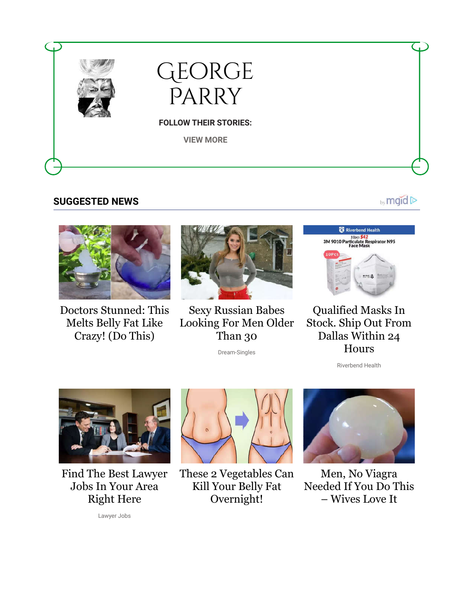

## **SUGGESTED NEWS**



Doctors Stunned: This Melts Belly Fat Like Crazy! (Do This)



Sexy Russian Babes Looking For Men Older Than 30

Dream-Singles



by mgid D

Qualified Masks In Stock. Ship Out From Dallas Within 24 Hours

Riverbend Health



Find The Best Lawyer Jobs In Your Area Right Here



These 2 Vegetables Can Kill Your Belly Fat Overnight!



Men, No Viagra Needed If You Do This – Wives Love It

Lawyer Jobs